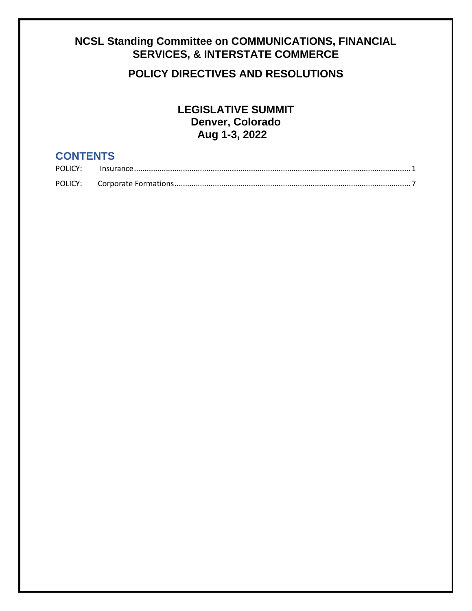# <span id="page-0-0"></span>**NCSL Standing Committee on COMMUNICATIONS, FINANCIAL SERVICES, & INTERSTATE COMMERCE**

## **POLICY DIRECTIVES AND RESOLUTIONS**

**LEGISLATIVE SUMMIT Denver, Colorado Aug 1-3, 2022**

## **CONTENTS**

| POLICY: |  |
|---------|--|
| POLICY: |  |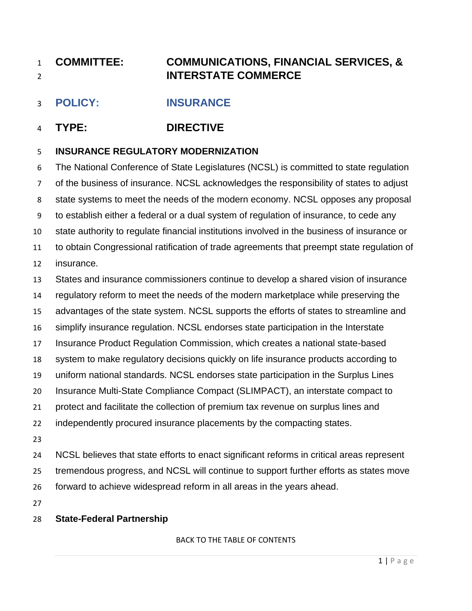# **COMMITTEE: COMMUNICATIONS, FINANCIAL SERVICES, & INTERSTATE COMMERCE**

## <span id="page-1-0"></span>**POLICY: INSURANCE**

## **TYPE: DIRECTIVE**

### **INSURANCE REGULATORY MODERNIZATION**

 The National Conference of State Legislatures (NCSL) is committed to state regulation of the business of insurance. NCSL acknowledges the responsibility of states to adjust state systems to meet the needs of the modern economy. NCSL opposes any proposal to establish either a federal or a dual system of regulation of insurance, to cede any state authority to regulate financial institutions involved in the business of insurance or to obtain Congressional ratification of trade agreements that preempt state regulation of insurance. States and insurance commissioners continue to develop a shared vision of insurance regulatory reform to meet the needs of the modern marketplace while preserving the advantages of the state system. NCSL supports the efforts of states to streamline and simplify insurance regulation. NCSL endorses state participation in the Interstate Insurance Product Regulation Commission, which creates a national state-based system to make regulatory decisions quickly on life insurance products according to uniform national standards. NCSL endorses state participation in the Surplus Lines Insurance Multi-State Compliance Compact (SLIMPACT), an interstate compact to protect and facilitate the collection of premium tax revenue on surplus lines and independently procured insurance placements by the compacting states. NCSL believes that state efforts to enact significant reforms in critical areas represent

 tremendous progress, and NCSL will continue to support further efforts as states move forward to achieve widespread reform in all areas in the years ahead.

### **State-Federal Partnership**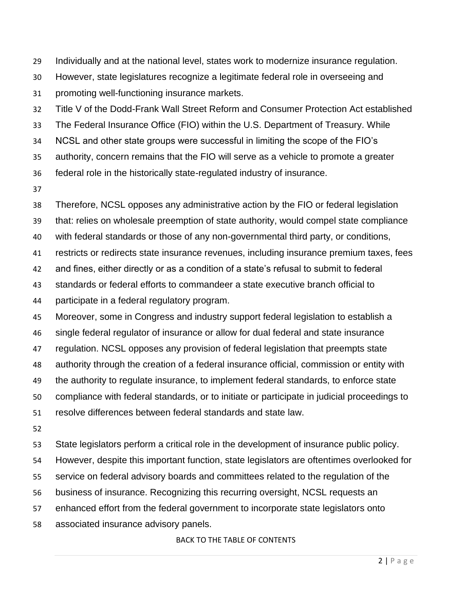- Individually and at the national level, states work to modernize insurance regulation.
- However, state legislatures recognize a legitimate federal role in overseeing and
- promoting well-functioning insurance markets.
- Title V of the Dodd-Frank Wall Street Reform and Consumer Protection Act established
- The Federal Insurance Office (FIO) within the U.S. Department of Treasury. While
- NCSL and other state groups were successful in limiting the scope of the FIO's
- authority, concern remains that the FIO will serve as a vehicle to promote a greater
- federal role in the historically state-regulated industry of insurance.
- 
- Therefore, NCSL opposes any administrative action by the FIO or federal legislation
- that: relies on wholesale preemption of state authority, would compel state compliance
- with federal standards or those of any non-governmental third party, or conditions,
- restricts or redirects state insurance revenues, including insurance premium taxes, fees
- and fines, either directly or as a condition of a state's refusal to submit to federal
- standards or federal efforts to commandeer a state executive branch official to
- participate in a federal regulatory program.
- Moreover, some in Congress and industry support federal legislation to establish a
- single federal regulator of insurance or allow for dual federal and state insurance
- regulation. NCSL opposes any provision of federal legislation that preempts state
- authority through the creation of a federal insurance official, commission or entity with
- the authority to regulate insurance, to implement federal standards, to enforce state
- compliance with federal standards, or to initiate or participate in judicial proceedings to
- resolve differences between federal standards and state law.
- 
- State legislators perform a critical role in the development of insurance public policy.
- However, despite this important function, state legislators are oftentimes overlooked for
- service on federal advisory boards and committees related to the regulation of the
- business of insurance. Recognizing this recurring oversight, NCSL requests an
- enhanced effort from the federal government to incorporate state legislators onto
- associated insurance advisory panels.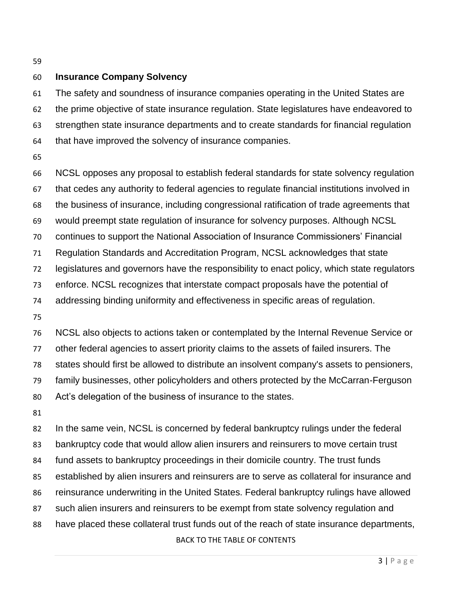#### **Insurance Company Solvency**

 The safety and soundness of insurance companies operating in the United States are the prime objective of state insurance regulation. State legislatures have endeavored to strengthen state insurance departments and to create standards for financial regulation that have improved the solvency of insurance companies.

 NCSL opposes any proposal to establish federal standards for state solvency regulation that cedes any authority to federal agencies to regulate financial institutions involved in the business of insurance, including congressional ratification of trade agreements that would preempt state regulation of insurance for solvency purposes. Although NCSL continues to support the National Association of Insurance Commissioners' Financial Regulation Standards and Accreditation Program, NCSL acknowledges that state legislatures and governors have the responsibility to enact policy, which state regulators enforce. NCSL recognizes that interstate compact proposals have the potential of addressing binding uniformity and effectiveness in specific areas of regulation. NCSL also objects to actions taken or contemplated by the Internal Revenue Service or other federal agencies to assert priority claims to the assets of failed insurers. The

states should first be allowed to distribute an insolvent company's assets to pensioners,

family businesses, other policyholders and others protected by the McCarran-Ferguson

Act's delegation of the business of insurance to the states.

[BACK TO THE TABLE OF CONTENTS](#page-0-0) 82 In the same vein, NCSL is concerned by federal bankruptcy rulings under the federal bankruptcy code that would allow alien insurers and reinsurers to move certain trust fund assets to bankruptcy proceedings in their domicile country. The trust funds established by alien insurers and reinsurers are to serve as collateral for insurance and reinsurance underwriting in the United States. Federal bankruptcy rulings have allowed such alien insurers and reinsurers to be exempt from state solvency regulation and have placed these collateral trust funds out of the reach of state insurance departments,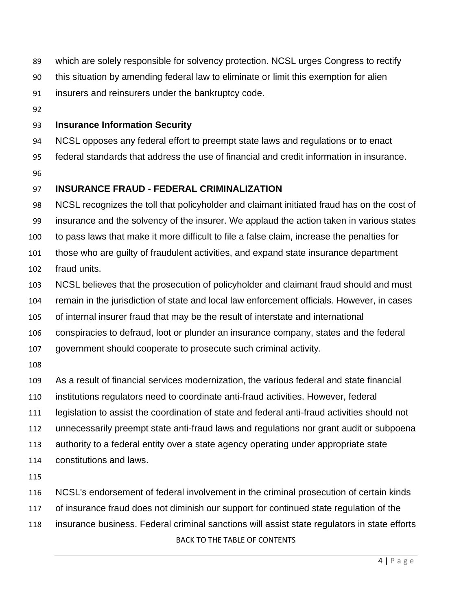- which are solely responsible for solvency protection. NCSL urges Congress to rectify
- this situation by amending federal law to eliminate or limit this exemption for alien
- insurers and reinsurers under the bankruptcy code.
- 

#### **Insurance Information Security**

NCSL opposes any federal effort to preempt state laws and regulations or to enact

- federal standards that address the use of financial and credit information in insurance.
- 

### **INSURANCE FRAUD - FEDERAL CRIMINALIZATION**

 NCSL recognizes the toll that policyholder and claimant initiated fraud has on the cost of insurance and the solvency of the insurer. We applaud the action taken in various states to pass laws that make it more difficult to file a false claim, increase the penalties for those who are guilty of fraudulent activities, and expand state insurance department

- fraud units.
- NCSL believes that the prosecution of policyholder and claimant fraud should and must
- remain in the jurisdiction of state and local law enforcement officials. However, in cases
- of internal insurer fraud that may be the result of interstate and international
- conspiracies to defraud, loot or plunder an insurance company, states and the federal
- government should cooperate to prosecute such criminal activity.
- 
- As a result of financial services modernization, the various federal and state financial
- institutions regulators need to coordinate anti-fraud activities. However, federal
- legislation to assist the coordination of state and federal anti-fraud activities should not
- unnecessarily preempt state anti-fraud laws and regulations nor grant audit or subpoena
- authority to a federal entity over a state agency operating under appropriate state
- constitutions and laws.

- NCSL's endorsement of federal involvement in the criminal prosecution of certain kinds
- of insurance fraud does not diminish our support for continued state regulation of the
- [BACK TO THE TABLE OF CONTENTS](#page-0-0) insurance business. Federal criminal sanctions will assist state regulators in state efforts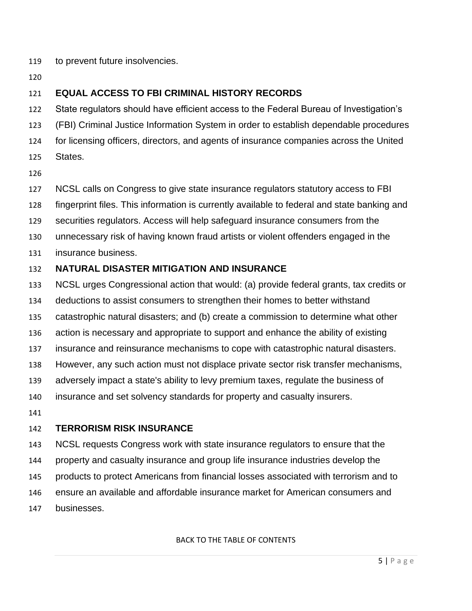- to prevent future insolvencies.
- 

## **EQUAL ACCESS TO FBI CRIMINAL HISTORY RECORDS**

State regulators should have efficient access to the Federal Bureau of Investigation's

- (FBI) Criminal Justice Information System in order to establish dependable procedures
- for licensing officers, directors, and agents of insurance companies across the United
- States.
- 
- NCSL calls on Congress to give state insurance regulators statutory access to FBI
- fingerprint files. This information is currently available to federal and state banking and
- securities regulators. Access will help safeguard insurance consumers from the
- unnecessary risk of having known fraud artists or violent offenders engaged in the
- insurance business.

### **NATURAL DISASTER MITIGATION AND INSURANCE**

- NCSL urges Congressional action that would: (a) provide federal grants, tax credits or
- deductions to assist consumers to strengthen their homes to better withstand
- catastrophic natural disasters; and (b) create a commission to determine what other
- action is necessary and appropriate to support and enhance the ability of existing
- insurance and reinsurance mechanisms to cope with catastrophic natural disasters.
- However, any such action must not displace private sector risk transfer mechanisms,
- adversely impact a state's ability to levy premium taxes, regulate the business of
- insurance and set solvency standards for property and casualty insurers.
- 

### **TERRORISM RISK INSURANCE**

- NCSL requests Congress work with state insurance regulators to ensure that the
- property and casualty insurance and group life insurance industries develop the
- products to protect Americans from financial losses associated with terrorism and to
- ensure an available and affordable insurance market for American consumers and
- businesses.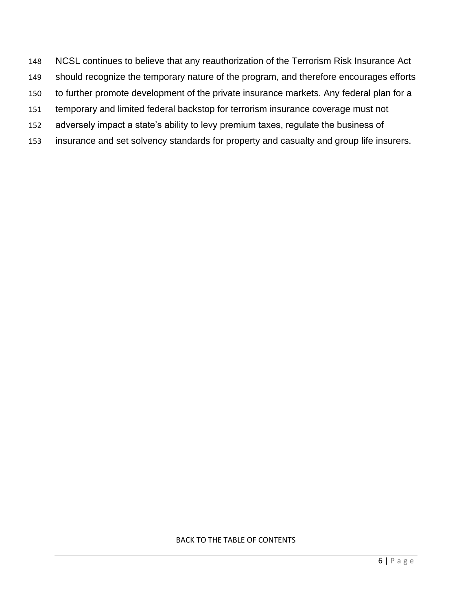- NCSL continues to believe that any reauthorization of the Terrorism Risk Insurance Act
- should recognize the temporary nature of the program, and therefore encourages efforts
- to further promote development of the private insurance markets. Any federal plan for a
- temporary and limited federal backstop for terrorism insurance coverage must not
- adversely impact a state's ability to levy premium taxes, regulate the business of
- insurance and set solvency standards for property and casualty and group life insurers.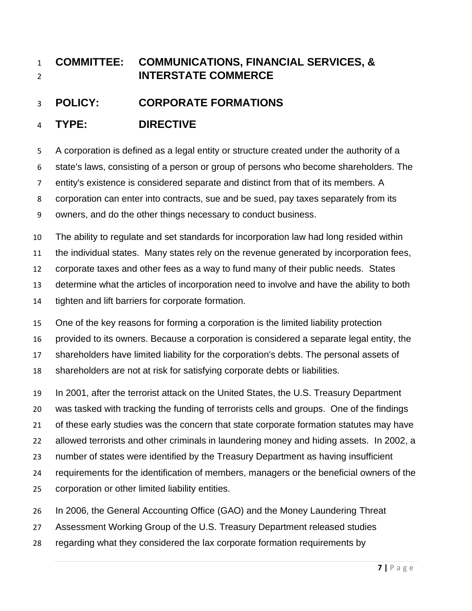# **COMMITTEE: COMMUNICATIONS, FINANCIAL SERVICES, & INTERSTATE COMMERCE**

<span id="page-7-0"></span>**POLICY: CORPORATE FORMATIONS**

## **TYPE: DIRECTIVE**

A corporation is defined as a legal entity or structure created under the authority of a

state's laws, consisting of a person or group of persons who become shareholders. The

entity's existence is considered separate and distinct from that of its members. A

corporation can enter into contracts, sue and be sued, pay taxes separately from its

owners, and do the other things necessary to conduct business.

 The ability to regulate and set standards for incorporation law had long resided within the individual states. Many states rely on the revenue generated by incorporation fees, corporate taxes and other fees as a way to fund many of their public needs. States determine what the articles of incorporation need to involve and have the ability to both tighten and lift barriers for corporate formation.

 One of the key reasons for forming a corporation is the limited liability protection provided to its owners. Because a corporation is considered a separate legal entity, the

shareholders have limited liability for the corporation's debts. The personal assets of

shareholders are not at risk for satisfying corporate debts or liabilities.

In 2001, after the terrorist attack on the United States, the U.S. Treasury Department

was tasked with tracking the funding of terrorists cells and groups. One of the findings

of these early studies was the concern that state corporate formation statutes may have

allowed terrorists and other criminals in laundering money and hiding assets. In 2002, a

number of states were identified by the Treasury Department as having insufficient

requirements for the identification of members, managers or the beneficial owners of the

- corporation or other limited liability entities.
- In 2006, the General Accounting Office (GAO) and the Money Laundering Threat
- Assessment Working Group of the U.S. Treasury Department released studies
- regarding what they considered the lax corporate formation requirements by